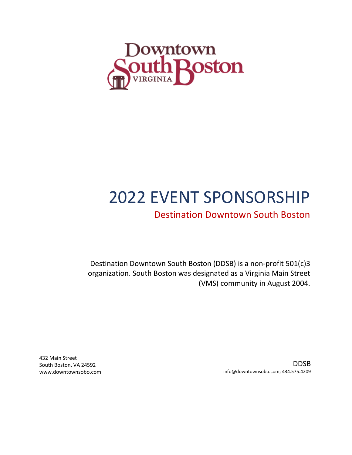

# 2022 EVENT SPONSORSHIP

# Destination Downtown South Boston

Destination Downtown South Boston (DDSB) is a non-profit 501(c)3 organization. South Boston was designated as a Virginia Main Street (VMS) community in August 2004.

> DDSB info@downtownsobo.com; 434.575.4209

432 Main Street South Boston, VA 24592 www.downtownsobo.com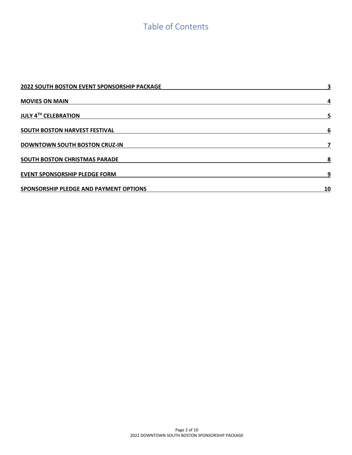# Table of Contents

| 2022 SOUTH BOSTON EVENT SPONSORSHIP PACKAGE | 3  |
|---------------------------------------------|----|
| <b>MOVIES ON MAIN</b>                       | 4  |
| <b>JULY 4TH CELEBRATION</b>                 | 5  |
| SOUTH BOSTON HARVEST FESTIVAL               | 6  |
| <b>DOWNTOWN SOUTH BOSTON CRUZ-IN</b>        |    |
| SOUTH BOSTON CHRISTMAS PARADE               | 8  |
| <b>EVENT SPONSORSHIP PLEDGE FORM</b>        | 9  |
| SPONSORSHIP PLEDGE AND PAYMENT OPTIONS      | 10 |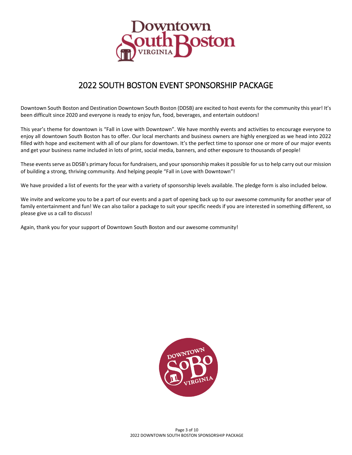

# 2022 SOUTH BOSTON EVENT SPONSORSHIP PACKAGE

<span id="page-2-0"></span>Downtown South Boston and Destination Downtown South Boston (DDSB) are excited to host events for the community this year! It's been difficult since 2020 and everyone is ready to enjoy fun, food, beverages, and entertain outdoors!

This year's theme for downtown is "Fall in Love with Downtown". We have monthly events and activities to encourage everyone to enjoy all downtown South Boston has to offer. Our local merchants and business owners are highly energized as we head into 2022 filled with hope and excitement with all of our plans for downtown. It's the perfect time to sponsor one or more of our major events and get your business name included in lots of print, social media, banners, and other exposure to thousands of people!

These events serve as DDSB's primary focus for fundraisers, and your sponsorship makes it possible for us to help carry out our mission of building a strong, thriving community. And helping people "Fall in Love with Downtown"!

We have provided a list of events for the year with a variety of sponsorship levels available. The pledge form is also included below.

We invite and welcome you to be a part of our events and a part of opening back up to our awesome community for another year of family entertainment and fun! We can also tailor a package to suit your specific needs if you are interested in something different, so please give us a call to discuss!

Again, thank you for your support of Downtown South Boston and our awesome community!

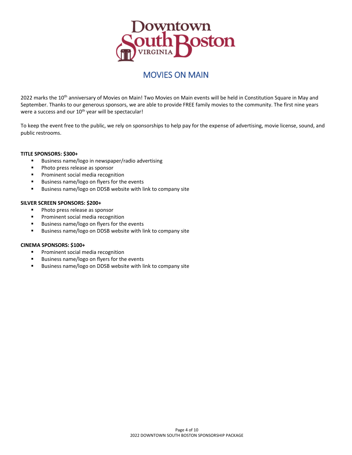

### MOVIES ON MAIN

<span id="page-3-0"></span>2022 marks the 10<sup>th</sup> anniversary of Movies on Main! Two Movies on Main events will be held in Constitution Square in May and September. Thanks to our generous sponsors, we are able to provide FREE family movies to the community. The first nine years were a success and our  $10^{th}$  year will be spectacular!

To keep the event free to the public, we rely on sponsorships to help pay for the expense of advertising, movie license, sound, and public restrooms.

#### **TITLE SPONSORS: \$300+**

- **Business name/logo in newspaper/radio advertising**
- **Photo press release as sponsor**
- Prominent social media recognition
- Business name/logo on flyers for the events
- **Business name/logo on DDSB website with link to company site**

#### **SILVER SCREEN SPONSORS: \$200+**

- **Photo press release as sponsor**
- **Prominent social media recognition**
- Business name/logo on flyers for the events
- Business name/logo on DDSB website with link to company site

#### **CINEMA SPONSORS: \$100+**

- **Prominent social media recognition**
- **Business name/logo on flyers for the events**
- **Business name/logo on DDSB website with link to company site**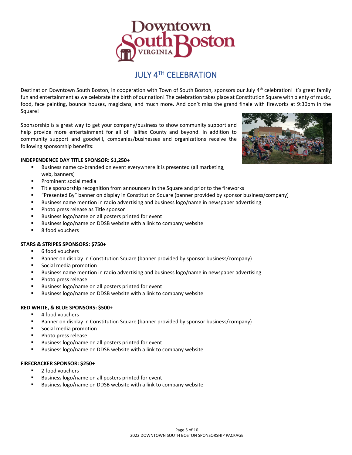

### JULY 4TH CELEBRATION

<span id="page-4-0"></span>Destination Downtown South Boston, in cooperation with Town of South Boston, sponsors our July 4<sup>th</sup> celebration! It's great family fun and entertainment as we celebrate the birth of our nation! The celebration takes place at Constitution Square with plenty of music, food, face painting, bounce houses, magicians, and much more. And don't miss the grand finale with fireworks at 9:30pm in the Square!

Sponsorship is a great way to get your company/business to show community support and help provide more entertainment for all of Halifax County and beyond. In addition to community support and goodwill, companies/businesses and organizations receive the following sponsorship benefits:



- Business name co-branded on event everywhere it is presented (all marketing, web, banners)
- Prominent social media
- Title sponsorship recognition from announcers in the Square and prior to the fireworks
- "Presented By" banner on display in Constitution Square (banner provided by sponsor business/company)
- Business name mention in radio advertising and business logo/name in newspaper advertising
- Photo press release as Title sponsor
- Business logo/name on all posters printed for event
- Business logo/name on DDSB website with a link to company website
- 8 food vouchers

#### **STARS & STRIPES SPONSORS: \$750+**

- 6 food vouchers
- Banner on display in Constitution Square (banner provided by sponsor business/company)
- **Social media promotion**
- Business name mention in radio advertising and business logo/name in newspaper advertising
- Photo press release
- Business logo/name on all posters printed for event
- **Business logo/name on DDSB website with a link to company website**

#### **RED WHITE, & BLUE SPONSORS: \$500+**

- 4 food vouchers
- Banner on display in Constitution Square (banner provided by sponsor business/company)
- Social media promotion
- Photo press release
- Business logo/name on all posters printed for event
- **Business logo/name on DDSB website with a link to company website**

#### **FIRECRACKER SPONSOR: \$250+**

- 2 food vouchers
- Business logo/name on all posters printed for event
- Business logo/name on DDSB website with a link to company website

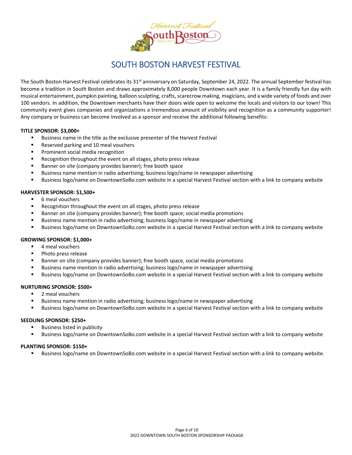

### SOUTH BOSTON HARVEST FESTIVAL

<span id="page-5-0"></span>The South Boston Harvest Festival celebrates its  $31^{st}$  anniversary on Saturday, September 24, 2022. The annual September festival has become a tradition in South Boston and draws approximately 8,000 people Downtown each year. It is a family friendly fun day with musical entertainment, pumpkin painting, balloon sculpting, crafts, scarecrow making, magicians, and a wide variety of foods and over 100 vendors. In addition, the Downtown merchants have their doors wide open to welcome the locals and visitors to our town! This community event gives companies and organizations a tremendous amount of visibility and recognition as a community supporter! Any company or business can become involved as a sponsor and receive the additional following benefits:

#### **TITLE SPONSOR: \$3,000+**

- Business name in the title as the exclusive presenter of the Harvest Festival
- Reserved parking and 10 meal vouchers
- Prominent social media recognition
- Recognition throughout the event on all stages, photo press release
- Banner on site (company provides banner); free booth space
- Business name mention in radio advertising; business logo/name in newspaper advertising
- Business logo/name on DowntownSoBo.com website in a special Harvest Festival section with a link to company website

#### **HARVESTER SPONSOR: \$1,500+**

- 6 meal vouchers
- Recognition throughout the event on all stages, photo press release
- Banner on site (company provides banner); free booth space; social media promotions
- Business name mention in radio advertising; business logo/name in newspaper advertising
- Business logo/name on DowntownSoBo.com website in a special Harvest Festival section with a link to company website

#### **GROWING SPONSOR: \$1,000+**

- 4 meal vouchers
- Photo press release
- Banner on site (company provides banner); free booth space, social media promotions
- Business name mention in radio advertising; business logo/name in newspaper advertising
- Business logo/name on DowntownSoBo.com website in a special Harvest Festival section with a link to company website

#### **NURTURING SPONSOR: \$500+**

- 2 meal vouchers
- Business name mention in radio advertising; business logo/name in newspaper advertising
- Business logo/name on DowntownSoBo.com website in a special Harvest Festival section with a link to company website

#### **SEEDLING SPONSOR: \$250+**

- Business listed in publicity
- Business logo/name on DowntownSoBo.com website in a special Harvest Festival section with a link to company website

#### **PLANTING SPONSOR: \$150+**

Business logo/name on DowntownSoBo.com website in a special Harvest Festival section with a link to company website.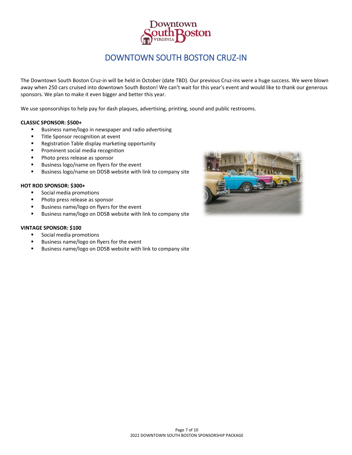

### DOWNTOWN SOUTH BOSTON CRUZ-IN

<span id="page-6-0"></span>The Downtown South Boston Cruz-in will be held in October (date TBD). Our previous Cruz-ins were a huge success. We were blown away when 250 cars cruised into downtown South Boston! We can't wait for this year's event and would like to thank our generous sponsors. We plan to make it even bigger and better this year.

We use sponsorships to help pay for dash plaques, advertising, printing, sound and public restrooms.

#### **CLASSIC SPONSOR: \$500+**

- **Business name/logo in newspaper and radio advertising**
- **Title Sponsor recognition at event**
- **Registration Table display marketing opportunity**
- Prominent social media recognition
- **Photo press release as sponsor**
- Business logo/name on flyers for the event
- Business logo/name on DDSB website with link to company site

#### **HOT ROD SPONSOR: \$300+**

- **Social media promotions**
- **Photo press release as sponsor**
- Business name/logo on flyers for the event
- Business name/logo on DDSB website with link to company site

#### **VINTAGE SPONSOR: \$100**

- **Social media promotions**
- **Business name/logo on flyers for the event**
- Business name/logo on DDSB website with link to company site

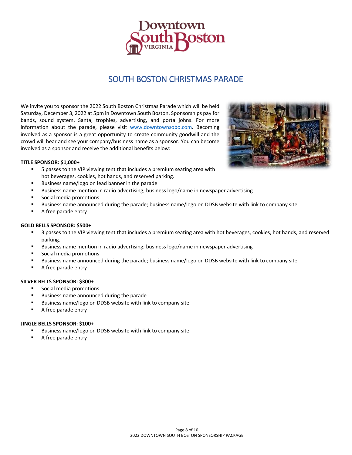

### SOUTH BOSTON CHRISTMAS PARADE

<span id="page-7-0"></span>We invite you to sponsor the 2022 South Boston Christmas Parade which will be held Saturday, December 3, 2022 at 5pm in Downtown South Boston. Sponsorships pay for bands, sound system, Santa, trophies, advertising, and porta johns. For more information about the parade, please visit [www.downtownsobo.com.](http://www.downtownsobo.com/) Becoming involved as a sponsor is a great opportunity to create community goodwill and the crowd will hear and see your company/business name as a sponsor. You can become involved as a sponsor and receive the additional benefits below:



#### **TITLE SPONSOR: \$1,000+**

- 5 passes to the VIP viewing tent that includes a premium seating area with hot beverages, cookies, hot hands, and reserved parking.
- Business name/logo on lead banner in the parade
- Business name mention in radio advertising; business logo/name in newspaper advertising
- Social media promotions
- Business name announced during the parade; business name/logo on DDSB website with link to company site
- A free parade entry

#### **GOLD BELLS SPONSOR: \$500+**

- **5** 3 passes to the VIP viewing tent that includes a premium seating area with hot beverages, cookies, hot hands, and reserved parking.
- Business name mention in radio advertising; business logo/name in newspaper advertising
- Social media promotions
- Business name announced during the parade; business name/logo on DDSB website with link to company site
- A free parade entry

#### **SILVER BELLS SPONSOR: \$300+**

- Social media promotions
- Business name announced during the parade
- Business name/logo on DDSB website with link to company site
- A free parade entry

#### **JINGLE BELLS SPONSOR: \$100+**

- Business name/logo on DDSB website with link to company site
- A free parade entry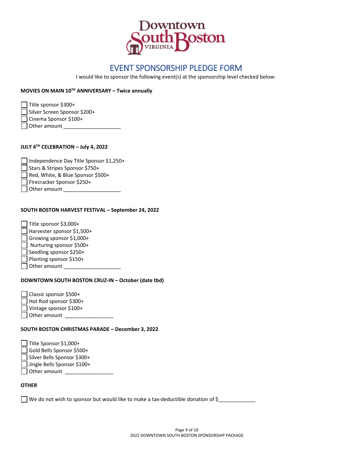

### EVENT SPONSORSHIP PLEDGE FORM

I would like to sponsor the following event(s) at the sponsorship level checked below:

#### <span id="page-8-0"></span>**MOVIES ON MAIN 10TH ANNIVERSARY – Twice annually**

Title sponsor \$300+

- Silver Screen Sponsor \$200+
- Cinema Sponsor \$100+

 $\Box$  Other amount  $\_\_$ 

#### **JULY 4TH CELEBRATION – July 4, 2022**

| Independence Day Title Sponsor \$1,250+ |
|-----------------------------------------|
| Stars & Stripes Sponsor \$750+          |
| Red, White, & Blue Sponsor \$500+       |
| Firecracker Sponsor \$250+              |
| Other amount                            |

#### **SOUTH BOSTON HARVEST FESTIVAL – September 24, 2022**

| Title sponsor \$3,000+     |
|----------------------------|
| Harvester sponsor \$1,500+ |
| Growing sponsor \$1,000+   |
| Nurturing sponsor \$500+   |
| Seedling sponsor \$250+    |
| Planting sponsor \$150+    |
| Other amount               |
|                            |

#### **DOWNTOWN SOUTH BOSTON CRUZ-IN – October (date tbd)**

| Classic sponsor \$500+ |  |
|------------------------|--|
| Hot Rod sponsor \$300+ |  |
| Vintage sponsor \$100+ |  |
| Other amount           |  |

#### **SOUTH BOSTON CHRISTMAS PARADE – December 3, 2022**

| Title Sponsor \$1,000+      |
|-----------------------------|
| Gold Bells Sponsor \$500+   |
| Silver Bells Sponsor \$300+ |
| Jingle Bells Sponsor \$100+ |
| $\Box$ Other amount         |
|                             |

#### **OTHER**

We do not wish to sponsor but would like to make a tax-deductible donation of \$